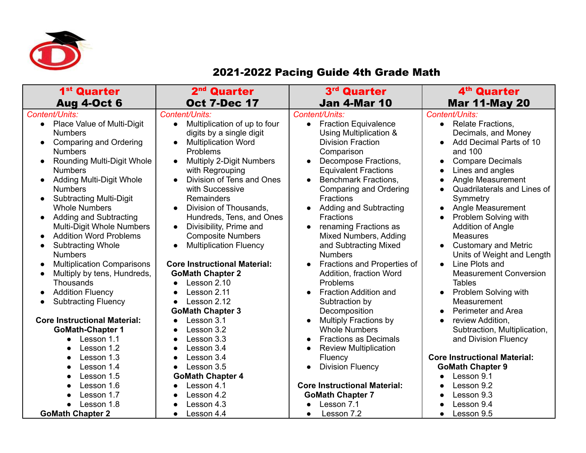

## 2021-2022 Pacing Guide 4th Grade Math

| 1 <sup>st</sup> Quarter                                                                                                                                                                                                                                                                                                                                                                                                                                                                                                                                                                                   | 2 <sup>nd</sup> Quarter                                                                                                                                                                                                                                                                                                                                                                                                                                                                                                                                              | 3rd Quarter                                                                                                                                                                                                                                                                                                                                                                                                                                                                                                                | 4 <sup>th</sup> Quarter                                                                                                                                                                                                                                                                                                                                                                                                                                                                                                                                                                     |
|-----------------------------------------------------------------------------------------------------------------------------------------------------------------------------------------------------------------------------------------------------------------------------------------------------------------------------------------------------------------------------------------------------------------------------------------------------------------------------------------------------------------------------------------------------------------------------------------------------------|----------------------------------------------------------------------------------------------------------------------------------------------------------------------------------------------------------------------------------------------------------------------------------------------------------------------------------------------------------------------------------------------------------------------------------------------------------------------------------------------------------------------------------------------------------------------|----------------------------------------------------------------------------------------------------------------------------------------------------------------------------------------------------------------------------------------------------------------------------------------------------------------------------------------------------------------------------------------------------------------------------------------------------------------------------------------------------------------------------|---------------------------------------------------------------------------------------------------------------------------------------------------------------------------------------------------------------------------------------------------------------------------------------------------------------------------------------------------------------------------------------------------------------------------------------------------------------------------------------------------------------------------------------------------------------------------------------------|
| <b>Aug 4-Oct 6</b>                                                                                                                                                                                                                                                                                                                                                                                                                                                                                                                                                                                        | <b>Oct 7-Dec 17</b>                                                                                                                                                                                                                                                                                                                                                                                                                                                                                                                                                  | <b>Jan 4-Mar 10</b>                                                                                                                                                                                                                                                                                                                                                                                                                                                                                                        | <b>Mar 11-May 20</b>                                                                                                                                                                                                                                                                                                                                                                                                                                                                                                                                                                        |
| Content/Units:<br>Place Value of Multi-Digit<br>$\bullet$<br><b>Numbers</b><br>Comparing and Ordering<br>$\bullet$<br><b>Numbers</b><br><b>Rounding Multi-Digit Whole</b><br>$\bullet$<br><b>Numbers</b><br>Adding Multi-Digit Whole<br><b>Numbers</b><br><b>Subtracting Multi-Digit</b><br><b>Whole Numbers</b><br>Adding and Subtracting<br>Multi-Digit Whole Numbers<br><b>Addition Word Problems</b><br><b>Subtracting Whole</b><br><b>Numbers</b><br><b>Multiplication Comparisons</b><br>$\bullet$<br>Multiply by tens, Hundreds,<br>$\bullet$<br>Thousands<br><b>Addition Fluency</b><br>$\bullet$ | Content/Units:<br>Multiplication of up to four<br>$\bullet$<br>digits by a single digit<br><b>Multiplication Word</b><br>$\bullet$<br>Problems<br><b>Multiply 2-Digit Numbers</b><br>$\bullet$<br>with Regrouping<br>Division of Tens and Ones<br>with Successive<br>Remainders<br>Division of Thousands.<br>$\bullet$<br>Hundreds, Tens, and Ones<br>Divisibility, Prime and<br>$\bullet$<br><b>Composite Numbers</b><br><b>Multiplication Fluency</b><br>$\bullet$<br><b>Core Instructional Material:</b><br><b>GoMath Chapter 2</b><br>Lesson 2.10<br>Lesson 2.11 | Content/Units:<br><b>Fraction Equivalence</b><br>$\bullet$<br>Using Multiplication &<br><b>Division Fraction</b><br>Comparison<br>Decompose Fractions,<br><b>Equivalent Fractions</b><br><b>Benchmark Fractions,</b><br><b>Comparing and Ordering</b><br><b>Fractions</b><br>Adding and Subtracting<br><b>Fractions</b><br>renaming Fractions as<br>Mixed Numbers, Adding<br>and Subtracting Mixed<br><b>Numbers</b><br>Fractions and Properties of<br>Addition, fraction Word<br>Problems<br><b>Fraction Addition and</b> | Content/Units:<br>• Relate Fractions,<br>Decimals, and Money<br>Add Decimal Parts of 10<br>$\bullet$<br>and 100<br><b>Compare Decimals</b><br>$\bullet$<br>Lines and angles<br>$\bullet$<br>Angle Measurement<br>$\bullet$<br>Quadrilaterals and Lines of<br>Symmetry<br>Angle Measurement<br>$\bullet$<br>Problem Solving with<br>$\bullet$<br><b>Addition of Angle</b><br><b>Measures</b><br><b>Customary and Metric</b><br>$\bullet$<br>Units of Weight and Length<br>Line Plots and<br>$\bullet$<br><b>Measurement Conversion</b><br><b>Tables</b><br>Problem Solving with<br>$\bullet$ |
| <b>Subtracting Fluency</b>                                                                                                                                                                                                                                                                                                                                                                                                                                                                                                                                                                                | Lesson 2.12                                                                                                                                                                                                                                                                                                                                                                                                                                                                                                                                                          | Subtraction by                                                                                                                                                                                                                                                                                                                                                                                                                                                                                                             | Measurement                                                                                                                                                                                                                                                                                                                                                                                                                                                                                                                                                                                 |
| <b>Core Instructional Material:</b><br><b>GoMath-Chapter 1</b><br>Lesson 1.1<br>$\bullet$<br>Lesson 1.2                                                                                                                                                                                                                                                                                                                                                                                                                                                                                                   | <b>GoMath Chapter 3</b><br>Lesson 3.1<br>Lesson 3.2<br>Lesson 3.3<br>Lesson 3.4                                                                                                                                                                                                                                                                                                                                                                                                                                                                                      | Decomposition<br><b>Multiply Fractions by</b><br><b>Whole Numbers</b><br><b>Fractions as Decimals</b><br><b>Review Multiplication</b>                                                                                                                                                                                                                                                                                                                                                                                      | Perimeter and Area<br>$\bullet$<br>review Addition,<br>$\bullet$<br>Subtraction, Multiplication,<br>and Division Fluency                                                                                                                                                                                                                                                                                                                                                                                                                                                                    |
| Lesson 1.3<br>Lesson 1.4                                                                                                                                                                                                                                                                                                                                                                                                                                                                                                                                                                                  | Lesson 3.4<br>Lesson 3.5                                                                                                                                                                                                                                                                                                                                                                                                                                                                                                                                             | Fluency<br><b>Division Fluency</b>                                                                                                                                                                                                                                                                                                                                                                                                                                                                                         | <b>Core Instructional Material:</b>                                                                                                                                                                                                                                                                                                                                                                                                                                                                                                                                                         |
| $\bullet$<br>Lesson 1.5<br>$\bullet$                                                                                                                                                                                                                                                                                                                                                                                                                                                                                                                                                                      | $\bullet$<br><b>GoMath Chapter 4</b>                                                                                                                                                                                                                                                                                                                                                                                                                                                                                                                                 | $\bullet$                                                                                                                                                                                                                                                                                                                                                                                                                                                                                                                  | <b>GoMath Chapter 9</b><br>Lesson 9.1                                                                                                                                                                                                                                                                                                                                                                                                                                                                                                                                                       |
| Lesson 1.6                                                                                                                                                                                                                                                                                                                                                                                                                                                                                                                                                                                                | Lesson 4.1                                                                                                                                                                                                                                                                                                                                                                                                                                                                                                                                                           | <b>Core Instructional Material:</b>                                                                                                                                                                                                                                                                                                                                                                                                                                                                                        | Lesson 9.2<br>$\bullet$                                                                                                                                                                                                                                                                                                                                                                                                                                                                                                                                                                     |
| Lesson 1.7                                                                                                                                                                                                                                                                                                                                                                                                                                                                                                                                                                                                | Lesson 4.2                                                                                                                                                                                                                                                                                                                                                                                                                                                                                                                                                           | <b>GoMath Chapter 7</b>                                                                                                                                                                                                                                                                                                                                                                                                                                                                                                    | Lesson 9.3<br>$\bullet$                                                                                                                                                                                                                                                                                                                                                                                                                                                                                                                                                                     |
| Lesson 1.8                                                                                                                                                                                                                                                                                                                                                                                                                                                                                                                                                                                                | Lesson 4.3                                                                                                                                                                                                                                                                                                                                                                                                                                                                                                                                                           | Lesson 7.1                                                                                                                                                                                                                                                                                                                                                                                                                                                                                                                 | Lesson 9.4                                                                                                                                                                                                                                                                                                                                                                                                                                                                                                                                                                                  |
| <b>GoMath Chapter 2</b>                                                                                                                                                                                                                                                                                                                                                                                                                                                                                                                                                                                   | Lesson 4.4                                                                                                                                                                                                                                                                                                                                                                                                                                                                                                                                                           | Lesson 7.2<br>$\bullet$                                                                                                                                                                                                                                                                                                                                                                                                                                                                                                    | Lesson 9.5<br>$\bullet$                                                                                                                                                                                                                                                                                                                                                                                                                                                                                                                                                                     |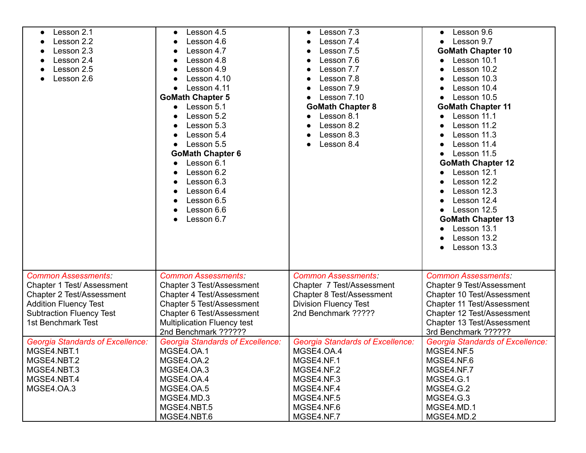| Lesson 2.1                              | Lesson 4.5<br>$\bullet$                 | Lesson 7.3                              | Lesson 9.6                              |
|-----------------------------------------|-----------------------------------------|-----------------------------------------|-----------------------------------------|
| Lesson 2.2                              | Lesson 4.6                              | Lesson 7.4                              | Lesson 9.7                              |
| Lesson 2.3                              | Lesson 4.7                              | Lesson 7.5                              | <b>GoMath Chapter 10</b>                |
| Lesson 2.4                              | Lesson 4.8                              | Lesson 7.6                              | Lesson 10.1                             |
| Lesson 2.5                              | Lesson 4.9                              | Lesson 7.7                              | Lesson 10.2                             |
| Lesson 2.6                              | Lesson 4.10                             | Lesson 7.8                              | Lesson 10.3                             |
|                                         | Lesson 4.11<br>$\bullet$                | Lesson 7.9                              | Lesson 10.4                             |
|                                         | <b>GoMath Chapter 5</b>                 | Lesson 7.10                             | Lesson 10.5                             |
|                                         | Lesson 5.1<br>$\bullet$                 | <b>GoMath Chapter 8</b>                 | <b>GoMath Chapter 11</b>                |
|                                         | Lesson 5.2                              | Lesson 8.1                              | Lesson 11.1                             |
|                                         | Lesson 5.3                              | Lesson 8.2                              | Lesson 11.2                             |
|                                         | Lesson 5.4                              | Lesson 8.3                              | Lesson 11.3                             |
|                                         | Lesson 5.5                              | Lesson 8.4                              | Lesson 11.4                             |
|                                         | <b>GoMath Chapter 6</b>                 |                                         | Lesson 11.5                             |
|                                         | Lesson 6.1<br>$\bullet$                 |                                         | <b>GoMath Chapter 12</b>                |
|                                         | Lesson 6.2                              |                                         | Lesson 12.1                             |
|                                         | Lesson 6.3<br>$\bullet$                 |                                         | Lesson 12.2                             |
|                                         | Lesson 6.4<br>$\bullet$                 |                                         | Lesson 12.3                             |
|                                         | Lesson 6.5                              |                                         | Lesson 12.4                             |
|                                         | $\bullet$                               |                                         | Lesson 12.5                             |
|                                         | Lesson 6.6                              |                                         |                                         |
|                                         | Lesson 6.7                              |                                         | <b>GoMath Chapter 13</b>                |
|                                         |                                         |                                         | Lesson 13.1                             |
|                                         |                                         |                                         | Lesson 13.2                             |
|                                         |                                         |                                         | Lesson 13.3                             |
|                                         |                                         |                                         |                                         |
| <b>Common Assessments:</b>              | <b>Common Assessments:</b>              | <b>Common Assessments:</b>              | <b>Common Assessments:</b>              |
|                                         |                                         |                                         |                                         |
| Chapter 1 Test/ Assessment              | Chapter 3 Test/Assessment               | Chapter 7 Test/Assessment               | Chapter 9 Test/Assessment               |
| Chapter 2 Test/Assessment               | Chapter 4 Test/Assessment               | Chapter 8 Test/Assessment               | Chapter 10 Test/Assessment              |
| <b>Addition Fluency Test</b>            | Chapter 5 Test/Assessment               | <b>Division Fluency Test</b>            | Chapter 11 Test/Assessment              |
| <b>Subtraction Fluency Test</b>         | Chapter 6 Test/Assessment               | 2nd Benchmark ?????                     | Chapter 12 Test/Assessment              |
| 1st Benchmark Test                      | <b>Multiplication Fluency test</b>      |                                         | Chapter 13 Test/Assessment              |
|                                         | 2nd Benchmark ??????                    |                                         | 3rd Benchmark ??????                    |
| <b>Georgia Standards of Excellence:</b> | <b>Georgia Standards of Excellence:</b> | <b>Georgia Standards of Excellence:</b> | <b>Georgia Standards of Excellence:</b> |
| MGSE4.NBT.1                             | MGSE4.OA.1                              | MGSE4.OA.4                              | MGSE4.NF.5                              |
| MGSE4.NBT.2                             | MGSE4.OA.2                              | MGSE4.NF.1                              | MGSE4.NF.6                              |
| MGSE4.NBT.3                             | MGSE4.OA.3                              | MGSE4.NF.2                              | MGSE4.NF.7                              |
| MGSE4.NBT.4                             | MGSE4.OA.4                              | MGSE4.NF.3                              | MGSE4.G.1                               |
| MGSE4.OA.3                              | MGSE4.OA.5                              | MGSE4.NF.4                              | MGSE4.G.2                               |
|                                         | MGSE4.MD.3                              | MGSE4.NF.5                              | MGSE4.G.3                               |
|                                         | MGSE4.NBT.5                             | MGSE4.NF.6                              | MGSE4.MD.1                              |
|                                         | MGSE4.NBT.6                             | MGSE4.NF.7                              | MGSE4.MD.2                              |